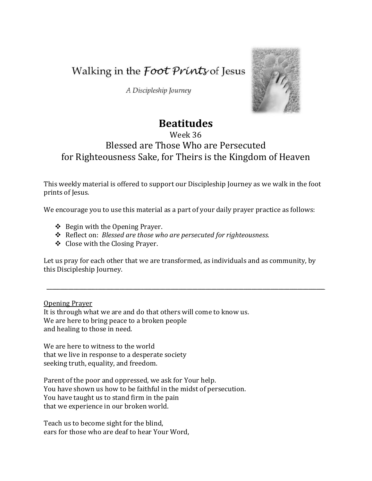Walking in the *Foot Prints* of Jesus

A Discipleship Journey



## **Beatitudes**

## Week 36 Blessed are Those Who are Persecuted for Righteousness Sake, for Theirs is the Kingdom of Heaven

This weekly material is offered to support our Discipleship Journey as we walk in the foot prints of Jesus.

We encourage you to use this material as a part of your daily prayer practice as follows:

- $\triangle$  Begin with the Opening Prayer.
- Reflect on: *Blessed are those who are persecuted for righteousness.*
- Close with the Closing Prayer.

Let us pray for each other that we are transformed, as individuals and as community, by this Discipleship Journey.

 $\mathcal{L} = \{ \mathcal{L} = \{ \mathcal{L} = \mathcal{L} \} \cup \{ \mathcal{L} = \{ \mathcal{L} = \mathcal{L} \} \cup \{ \mathcal{L} = \{ \mathcal{L} = \mathcal{L} = \mathcal{L} \} \cup \{ \mathcal{L} = \{ \mathcal{L} = \mathcal{L} = \mathcal{L} = \mathcal{L} = \mathcal{L} = \mathcal{L} = \mathcal{L} = \mathcal{L} \} \cup \{ \mathcal{L} = \{ \mathcal{L} = \mathcal{L} = \mathcal{L} = \mathcal{L} = \mathcal{L} = \mathcal{L}$ 

Opening Prayer

It is through what we are and do that others will come to know us. We are here to bring peace to a broken people and healing to those in need.

We are here to witness to the world that we live in response to a desperate society seeking truth, equality, and freedom.

Parent of the poor and oppressed, we ask for Your help. You have shown us how to be faithful in the midst of persecution. You have taught us to stand firm in the pain that we experience in our broken world.

Teach us to become sight for the blind, ears for those who are deaf to hear Your Word,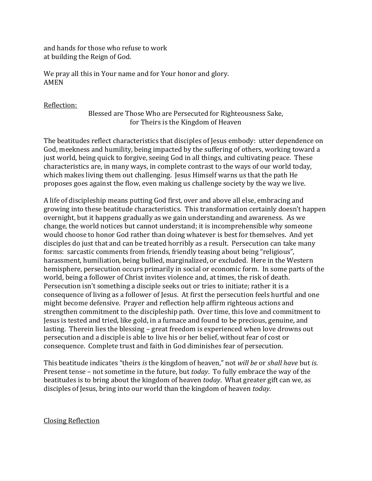and hands for those who refuse to work at building the Reign of God.

We pray all this in Your name and for Your honor and glory. AMEN

Reflection:

Blessed are Those Who are Persecuted for Righteousness Sake, for Theirs is the Kingdom of Heaven

The beatitudes reflect characteristics that disciples of Jesus embody: utter dependence on God, meekness and humility, being impacted by the suffering of others, working toward a just world, being quick to forgive, seeing God in all things, and cultivating peace. These characteristics are, in many ways, in complete contrast to the ways of our world today, which makes living them out challenging. Jesus Himself warns us that the path He proposes goes against the flow, even making us challenge society by the way we live.

A life of discipleship means putting God first, over and above all else, embracing and growing into these beatitude characteristics. This transformation certainly doesn't happen overnight, but it happens gradually as we gain understanding and awareness. As we change, the world notices but cannot understand; it is incomprehensible why someone would choose to honor God rather than doing whatever is best for themselves. And yet disciples do just that and can be treated horribly as a result. Persecution can take many forms: sarcastic comments from friends, friendly teasing about being "religious", harassment, humiliation, being bullied, marginalized, or excluded. Here in the Western hemisphere, persecution occurs primarily in social or economic form. In some parts of the world, being a follower of Christ invites violence and, at times, the risk of death. Persecution isn't something a disciple seeks out or tries to initiate; rather it is a consequence of living as a follower of Jesus. At first the persecution feels hurtful and one might become defensive. Prayer and reflection help affirm righteous actions and strengthen commitment to the discipleship path. Over time, this love and commitment to Jesus is tested and tried, like gold, in a furnace and found to be precious, genuine, and lasting. Therein lies the blessing – great freedom is experienced when love drowns out persecution and a disciple is able to live his or her belief, without fear of cost or consequence. Complete trust and faith in God diminishes fear of persecution.

This beatitude indicates "theirs *is* the kingdom of heaven," not *will be* or *shall have* but *is*. Present tense – not sometime in the future, but *today*. To fully embrace the way of the beatitudes is to bring about the kingdom of heaven *today*. What greater gift can we, as disciples of Jesus, bring into our world than the kingdom of heaven *today*.

Closing Reflection